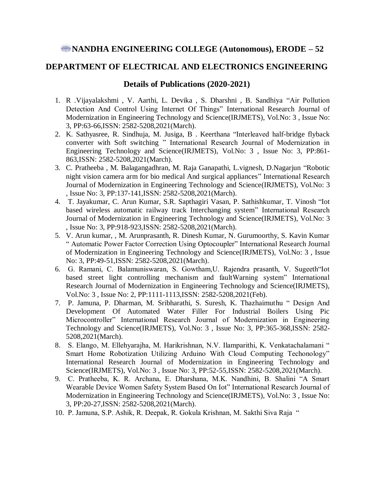### **NANDHA ENGINEERING COLLEGE (Autonomous), ERODE – 52**

## **DEPARTMENT OF ELECTRICAL AND ELECTRONICS ENGINEERING**

#### **Details of Publications (2020-2021)**

- 1. R .Vijayalakshmi , V. Aarthi, L. Devika , S. Dharshni , B. Sandhiya "Air Pollution Detection And Control Using Internet Of Things" International Research Journal of Modernization in Engineering Technology and Science(IRJMETS), Vol.No: 3 , Issue No: 3, PP:63-66,ISSN: 2582-5208,2021(March).
- 2. K. Sathyasree, R. Sindhuja, M. Jusiga, B . Keerthana "Interleaved half-bridge flyback converter with Soft switching " International Research Journal of Modernization in Engineering Technology and Science(IRJMETS), Vol.No: 3 , Issue No: 3, PP:861- 863,ISSN: 2582-5208,2021(March).
- 3. C. Pratheeba , M. Balagangadhran, M. Raja Ganapathi, L.vignesh, D.Nagarjun "Robotic night vision camera arm for bio medical And surgical appliances" International Research Journal of Modernization in Engineering Technology and Science(IRJMETS), Vol.No: 3 , Issue No: 3, PP:137-141,ISSN: 2582-5208,2021(March).
- 4. T. Jayakumar, C. Arun Kumar, S.R. Sapthagiri Vasan, P. Sathishkumar, T. Vinosh "Iot based wireless automatic railway track Interchanging system" International Research Journal of Modernization in Engineering Technology and Science(IRJMETS), Vol.No: 3 , Issue No: 3, PP:918-923,ISSN: 2582-5208,2021(March).
- 5. V. Arun kumar, , M. Arunprasanth, R. Dinesh Kumar, N. Gurumoorthy, S. Kavin Kumar " Automatic Power Factor Correction Using Optocoupler" International Research Journal of Modernization in Engineering Technology and Science(IRJMETS), Vol.No: 3 , Issue No: 3, PP:49-51,ISSN: 2582-5208,2021(March).
- 6. G. Ramani, C. Balamuniswaran, S. Gowtham,U. Rajendra prasanth, V. Sugeeth"Iot based street light controlling mechanism and faultWarning system" International Research Journal of Modernization in Engineering Technology and Science(IRJMETS), Vol.No: 3 , Issue No: 2, PP:1111-1113,ISSN: 2582-5208,2021(Feb).
- 7. P. Jamuna, P. Dharman, M. Sribharathi, S. Suresh, K. Thazhaimuthu " Design And Development Of Automated Water Filler For Industrial Boilers Using Pic Microcontroller" International Research Journal of Modernization in Engineering Technology and Science(IRJMETS), Vol.No: 3 , Issue No: 3, PP:365-368,ISSN: 2582- 5208,2021(March).
- 8. S. Elango, M. Ellehyarajha, M. Harikrishnan, N.V. Ilamparithi, K. Venkatachalamani " Smart Home Robotization Utilizing Arduino With Cloud Computing Techonology" International Research Journal of Modernization in Engineering Technology and Science(IRJMETS), Vol.No: 3 , Issue No: 3, PP:52-55,ISSN: 2582-5208,2021(March).
- 9. C. Pratheeba, K. R. Archana, E. Dharshana, M.K. Nandhini, B. Shalini "A Smart Wearable Device Women Safety System Based On Iot" International Research Journal of Modernization in Engineering Technology and Science(IRJMETS), Vol.No: 3 , Issue No: 3, PP:20-27,ISSN: 2582-5208,2021(March).
- 10. P. Jamuna, S.P. Ashik, R. Deepak, R. Gokula Krishnan, M. Sakthi Siva Raja "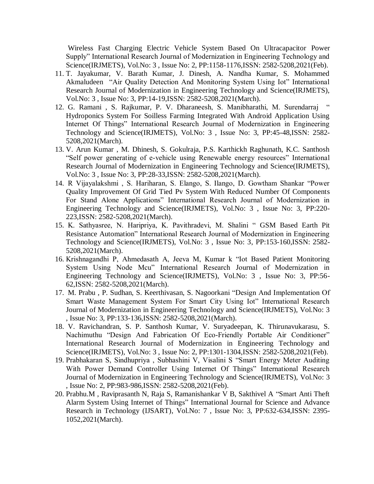Wireless Fast Charging Electric Vehicle System Based On Ultracapacitor Power Supply" International Research Journal of Modernization in Engineering Technology and Science(IRJMETS), Vol.No: 3 , Issue No: 2, PP:1158-1176,ISSN: 2582-5208,2021(Feb).

- 11. T. Jayakumar, V. Barath Kumar, J. Dinesh, A. Nandha Kumar, S. Mohammed Akmaludeen "Air Quality Detection And Monitoring System Using Iot" International Research Journal of Modernization in Engineering Technology and Science(IRJMETS), Vol.No: 3 , Issue No: 3, PP:14-19,ISSN: 2582-5208,2021(March).
- 12. G. Ramani , S. Rajkumar, P. V. Dharaneesh, S. Manibharathi, M. Surendarraj " Hydroponics System For Soilless Farming Integrated With Android Application Using Internet Of Things" International Research Journal of Modernization in Engineering Technology and Science(IRJMETS), Vol.No: 3 , Issue No: 3, PP:45-48,ISSN: 2582- 5208,2021(March).
- 13. V. Arun Kumar , M. Dhinesh, S. Gokulraja, P.S. Karthickh Raghunath, K.C. Santhosh "Self power generating of e-vehicle using Renewable energy resources" International Research Journal of Modernization in Engineering Technology and Science(IRJMETS), Vol.No: 3 , Issue No: 3, PP:28-33,ISSN: 2582-5208,2021(March).
- 14. R Vijayalakshmi , S. Hariharan, S. Elango, S. Ilango, D. Gowtham Shankar "Power Quality Improvement Of Grid Tied Pv System With Reduced Number Of Components For Stand Alone Applications" International Research Journal of Modernization in Engineering Technology and Science(IRJMETS), Vol.No: 3 , Issue No: 3, PP:220- 223,ISSN: 2582-5208,2021(March).
- 15. K. Sathyasree, N. Haripriya, K. Pavithradevi, M. Shalini " GSM Based Earth Pit Resistance Automation" International Research Journal of Modernization in Engineering Technology and Science(IRJMETS), Vol.No: 3 , Issue No: 3, PP:153-160,ISSN: 2582- 5208,2021(March).
- 16. Krishnagandhi P, Ahmedasath A, Jeeva M, Kumar k "Iot Based Patient Monitoring System Using Node Mcu" International Research Journal of Modernization in Engineering Technology and Science(IRJMETS), Vol.No: 3 , Issue No: 3, PP:56- 62,ISSN: 2582-5208,2021(March).
- 17. M. Prabu , P. Sudhan, S. Keerthivasan, S. Nagoorkani "Design And Implementation Of Smart Waste Management System For Smart City Using Iot" International Research Journal of Modernization in Engineering Technology and Science(IRJMETS), Vol.No: 3 , Issue No: 3, PP:133-136,ISSN: 2582-5208,2021(March).
- 18. V. Ravichandran, S. P. Santhosh Kumar, V. Suryadeepan, K. Thirunavukarasu, S. Nachimuthu "Design And Fabrication Of Eco-Friendly Portable Air Conditioner" International Research Journal of Modernization in Engineering Technology and Science(IRJMETS), Vol.No: 3 , Issue No: 2, PP:1301-1304,ISSN: 2582-5208,2021(Feb).
- 19. Prabhakaran S, Sindhupriya , Subhashini V, Visalini S "Smart Energy Meter Auditing With Power Demand Controller Using Internet Of Things" International Research Journal of Modernization in Engineering Technology and Science(IRJMETS), Vol.No: 3 , Issue No: 2, PP:983-986,ISSN: 2582-5208,2021(Feb).
- 20. Prabhu.M , Raviprasanth N, Raja S, Ramanishankar V B, Sakthivel A "Smart Anti Theft Alarm System Using Internet of Things" International Journal for Science and Advance Research in Technology (IJSART), Vol.No: 7 , Issue No: 3, PP:632-634,ISSN: 2395- 1052,2021(March).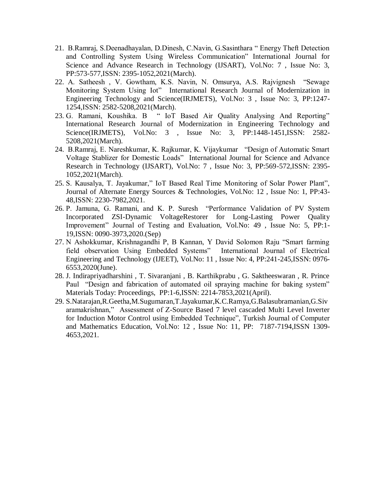- 21. B.Ramraj, S.Deenadhayalan, D.Dinesh, C.Navin, G.Sasinthara " Energy Theft Detection and Controlling System Using Wireless Communication" International Journal for Science and Advance Research in Technology (IJSART), Vol.No: 7 , Issue No: 3, PP:573-577,ISSN: 2395-1052,2021(March).
- 22. A. Satheesh , V. Gowtham, K.S. Navin, N. Omsurya, A.S. Rajvignesh "Sewage Monitoring System Using Iot" International Research Journal of Modernization in Engineering Technology and Science(IRJMETS), Vol.No: 3 , Issue No: 3, PP:1247- 1254,ISSN: 2582-5208,2021(March).
- 23. G. Ramani, Koushika. B " IoT Based Air Quality Analysing And Reporting" International Research Journal of Modernization in Engineering Technology and Science(IRJMETS), Vol.No: 3 , Issue No: 3, PP:1448-1451,ISSN: 2582- 5208,2021(March).
- 24. B.Ramraj, E. Nareshkumar, K. Rajkumar, K. Vijaykumar "Design of Automatic Smart Voltage Stablizer for Domestic Loads" International Journal for Science and Advance Research in Technology (IJSART), Vol.No: 7 , Issue No: 3, PP:569-572,ISSN: 2395- 1052,2021(March).
- 25. S. Kausalya, T. Jayakumar," IoT Based Real Time Monitoring of Solar Power Plant", Journal of Alternate Energy Sources & Technologies, Vol.No: 12 , Issue No: 1, PP:43- 48,ISSN: 2230-7982,2021.
- 26. P. Jamuna, G. Ramani, and K. P. Suresh "Performance Validation of PV System Incorporated ZSI-Dynamic VoltageRestorer for Long-Lasting Power Quality Improvement" Journal of Testing and Evaluation, Vol.No: 49 , Issue No: 5, PP:1- 19,ISSN: 0090-3973,2020.(Sep)
- 27. N Ashokkumar, Krishnagandhi P, B Kannan, Y David Solomon Raju "Smart farming field observation Using Embedded Systems" International Journal of Electrical Engineering and Technology (IJEET), Vol.No: 11 , Issue No: 4, PP:241-245,ISSN: 0976- 6553,2020(June).
- 28. J. Indirapriyadharshini , T. Sivaranjani , B. Karthikprabu , G. Saktheeswaran , R. Prince Paul "Design and fabrication of automated oil spraying machine for baking system" Materials Today: Proceedings, PP:1-6,ISSN: 2214-7853,2021(April).
- 29. S.Natarajan,R.Geetha,M.Sugumaran,T.Jayakumar,K.C.Ramya,G.Balasubramanian,G.Siv aramakrishnan," Assessment of Z-Source Based 7 level cascaded Multi Level Inverter for Induction Motor Control using Embedded Technique", Turkish Journal of Computer and Mathematics Education, Vol.No: 12 , Issue No: 11, PP: 7187-7194,ISSN 1309- 4653,2021.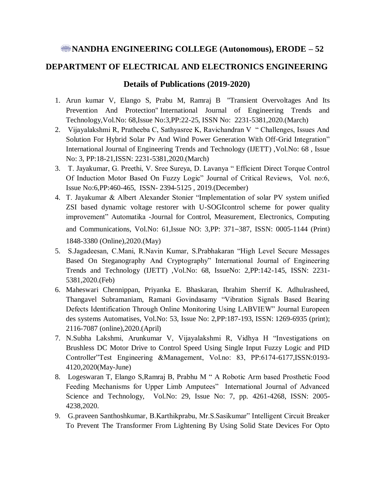## **NANDHA ENGINEERING COLLEGE (Autonomous), ERODE – 52 DEPARTMENT OF ELECTRICAL AND ELECTRONICS ENGINEERING**

#### **Details of Publications (2019-2020)**

- 1. Arun kumar V, Elango S, Prabu M, Ramraj B "Transient Overvoltages And Its Prevention And Protection" International Journal of Engineering Trends and Technology,Vol.No: 68,Issue No:3,PP:22-25, ISSN No: 2231-5381,2020.(March)
- 2. Vijayalakshmi R, Pratheeba C, Sathyasree K, Ravichandran V " Challenges, Issues And Solution For Hybrid Solar Pv And Wind Power Generation With Off-Grid Integration" International Journal of Engineering Trends and Technology (IJETT) ,Vol.No: 68 , Issue No: 3, PP:18-21,ISSN: 2231-5381,2020.(March)
- 3. T. Jayakumar, G. Preethi, V. Sree Sureya, D. Lavanya " Efficient Direct Torque Control Of Induction Motor Based On Fuzzy Logic" Journal of Critical Reviews, Vol. no:6, Issue No:6,PP:460-465, ISSN- 2394-5125 , 2019.(December)
- 4. T. Jayakumar & Albert Alexander Stonier "Implementation of solar PV system unified ZSI based dynamic voltage restorer with U-SOGIcontrol scheme for power quality improvement" Automatika -Journal for Control, Measurement, Electronics, Computing and Communications, Vol.No: 61,Issue NO: 3,PP: 371–387, ISSN: 0005-1144 (Print) 1848-3380 (Online),2020.(May)
- 5. S.Jagadeesan, C.Mani, R.Navin Kumar, S.Prabhakaran "High Level Secure Messages Based On Steganography And Cryptography" International Journal of Engineering Trends and Technology (IJETT) ,Vol.No: 68, IssueNo: 2,PP:142-145, ISSN: 2231- 5381,2020.(Feb)
- 6. Maheswari Chennippan, Priyanka E. Bhaskaran, Ibrahim Sherrif K. Adhulrasheed, Thangavel Subramaniam, Ramani Govindasamy "Vibration Signals Based Bearing Defects Identification Through Online Monitoring Using LABVIEW" Journal Europeen des systems Automatises, Vol.No: 53, Issue No: 2,PP:187-193, ISSN: 1269-6935 (print); 2116-7087 (online),2020.(April)
- 7. N.Subha Lakshmi, Arunkumar V, Vijayalakshmi R, Vidhya H "Investigations on Brushless DC Motor Drive to Control Speed Using Single Input Fuzzy Logic and PID Controller"Test Engineering &Management, Vol.no: 83, PP:6174-6177,ISSN:0193- 4120,2020(May-June)
- 8. Logeswaran T, Elango S,Ramraj B, Prabhu M " A Robotic Arm based Prosthetic Food Feeding Mechanisms for Upper Limb Amputees" International Journal of Advanced Science and Technology, Vol.No: 29, Issue No: 7, pp. 4261-4268, ISSN: 2005- 4238,2020.
- 9. G.praveen Santhoshkumar, B.Karthikprabu, Mr.S.Sasikumar" Intelligent Circuit Breaker To Prevent The Transformer From Lightening By Using Solid State Devices For Opto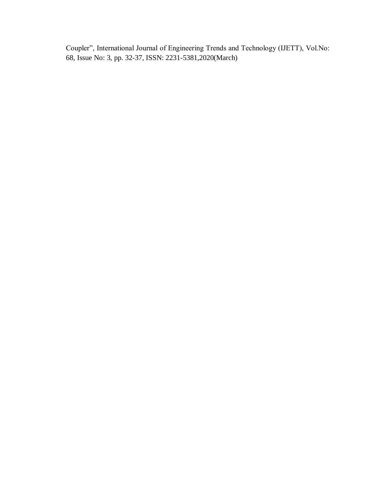Coupler", International Journal of Engineering Trends and Technology (IJETT), Vol.No: 68, Issue No: 3, pp. 32-37, ISSN: 2231-5381,2020(March)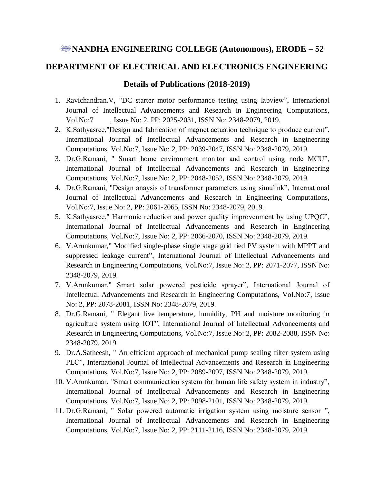# **NANDHA ENGINEERING COLLEGE (Autonomous), ERODE – 52 DEPARTMENT OF ELECTRICAL AND ELECTRONICS ENGINEERING**

#### **Details of Publications (2018-2019)**

- 1. Ravichandran.V, "DC starter motor performance testing using labview", International Journal of Intellectual Advancements and Research in Engineering Computations, Vol.No:7 , Issue No: 2, PP: 2025-2031, ISSN No: 2348-2079, 2019.
- 2. K.Sathyasree,"Design and fabrication of magnet actuation technique to produce current", International Journal of Intellectual Advancements and Research in Engineering Computations, Vol.No:7, Issue No: 2, PP: 2039-2047, ISSN No: 2348-2079, 2019.
- 3. Dr.G.Ramani, " Smart home environment monitor and control using node MCU", International Journal of Intellectual Advancements and Research in Engineering Computations, Vol.No:7, Issue No: 2, PP: 2048-2052, ISSN No: 2348-2079, 2019.
- 4. Dr.G.Ramani, "Design anaysis of transformer parameters using simulink", International Journal of Intellectual Advancements and Research in Engineering Computations, Vol.No:7, Issue No: 2, PP: 2061-2065, ISSN No: 2348-2079, 2019.
- 5. K.Sathyasree," Harmonic reduction and power quality improvenment by using UPQC", International Journal of Intellectual Advancements and Research in Engineering Computations, Vol.No:7, Issue No: 2, PP: 2066-2070, ISSN No: 2348-2079, 2019.
- 6. V.Arunkumar," Modified single-phase single stage grid tied PV system with MPPT and suppressed leakage current", International Journal of Intellectual Advancements and Research in Engineering Computations, Vol.No:7, Issue No: 2, PP: 2071-2077, ISSN No: 2348-2079, 2019.
- 7. V.Arunkumar," Smart solar powered pesticide sprayer", International Journal of Intellectual Advancements and Research in Engineering Computations, Vol.No:7, Issue No: 2, PP: 2078-2081, ISSN No: 2348-2079, 2019.
- 8. Dr.G.Ramani, " Elegant live temperature, humidity, PH and moisture monitoring in agriculture system using IOT", International Journal of Intellectual Advancements and Research in Engineering Computations, Vol.No:7, Issue No: 2, PP: 2082-2088, ISSN No: 2348-2079, 2019.
- 9. Dr.A.Satheesh, " An efficient approach of mechanical pump sealing filter system using PLC", International Journal of Intellectual Advancements and Research in Engineering Computations, Vol.No:7, Issue No: 2, PP: 2089-2097, ISSN No: 2348-2079, 2019.
- 10. V.Arunkumar, "Smart communication system for human life safety system in industry", International Journal of Intellectual Advancements and Research in Engineering Computations, Vol.No:7, Issue No: 2, PP: 2098-2101, ISSN No: 2348-2079, 2019.
- 11. Dr.G.Ramani, " Solar powered automatic irrigation system using moisture sensor ", International Journal of Intellectual Advancements and Research in Engineering Computations, Vol.No:7, Issue No: 2, PP: 2111-2116, ISSN No: 2348-2079, 2019.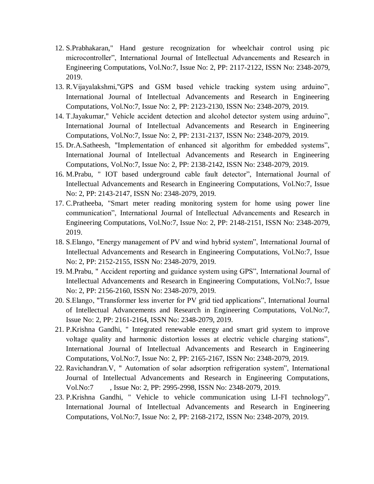- 12. S.Prabhakaran," Hand gesture recognization for wheelchair control using pic microcontroller", International Journal of Intellectual Advancements and Research in Engineering Computations, Vol.No:7, Issue No: 2, PP: 2117-2122, ISSN No: 2348-2079, 2019.
- 13. R.Vijayalakshmi,"GPS and GSM based vehicle tracking system using arduino", International Journal of Intellectual Advancements and Research in Engineering Computations, Vol.No:7, Issue No: 2, PP: 2123-2130, ISSN No: 2348-2079, 2019.
- 14. T.Jayakumar," Vehicle accident detection and alcohol detector system using arduino", International Journal of Intellectual Advancements and Research in Engineering Computations, Vol.No:7, Issue No: 2, PP: 2131-2137, ISSN No: 2348-2079, 2019.
- 15. Dr.A.Satheesh, "Implementation of enhanced sit algorithm for embedded systems", International Journal of Intellectual Advancements and Research in Engineering Computations, Vol.No:7, Issue No: 2, PP: 2138-2142, ISSN No: 2348-2079, 2019.
- 16. M.Prabu, " IOT based underground cable fault detector", International Journal of Intellectual Advancements and Research in Engineering Computations, Vol.No:7, Issue No: 2, PP: 2143-2147, ISSN No: 2348-2079, 2019.
- 17. C.Pratheeba, "Smart meter reading monitoring system for home using power line communication", International Journal of Intellectual Advancements and Research in Engineering Computations, Vol.No:7, Issue No: 2, PP: 2148-2151, ISSN No: 2348-2079, 2019.
- 18. S.Elango, "Energy management of PV and wind hybrid system", International Journal of Intellectual Advancements and Research in Engineering Computations, Vol.No:7, Issue No: 2, PP: 2152-2155, ISSN No: 2348-2079, 2019.
- 19. M.Prabu, " Accident reporting and guidance system using GPS", International Journal of Intellectual Advancements and Research in Engineering Computations, Vol.No:7, Issue No: 2, PP: 2156-2160, ISSN No: 2348-2079, 2019.
- 20. S.Elango, "Transformer less inverter for PV grid tied applications", International Journal of Intellectual Advancements and Research in Engineering Computations, Vol.No:7, Issue No: 2, PP: 2161-2164, ISSN No: 2348-2079, 2019.
- 21. P.Krishna Gandhi, " Integrated renewable energy and smart grid system to improve voltage quality and harmonic distortion losses at electric vehicle charging stations", International Journal of Intellectual Advancements and Research in Engineering Computations, Vol.No:7, Issue No: 2, PP: 2165-2167, ISSN No: 2348-2079, 2019.
- 22. Ravichandran.V, " Automation of solar adsorption refrigeration system", International Journal of Intellectual Advancements and Research in Engineering Computations, Vol.No:7 , Issue No: 2, PP: 2995-2998, ISSN No: 2348-2079, 2019.
- 23. P.Krishna Gandhi, " Vehicle to vehicle communication using LI-FI technology", International Journal of Intellectual Advancements and Research in Engineering Computations, Vol.No:7, Issue No: 2, PP: 2168-2172, ISSN No: 2348-2079, 2019.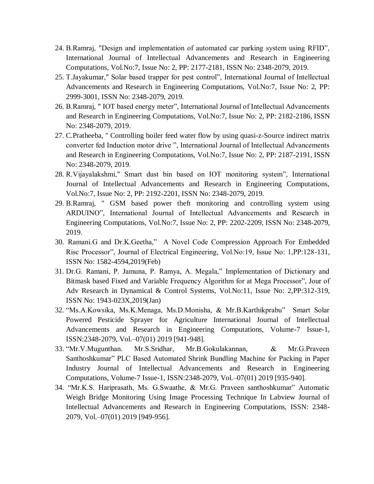- 24. B.Ramraj, "Design and implementation of automated car parking system using RFID", International Journal of Intellectual Advancements and Research in Engineering Computations, Vol.No:7, Issue No: 2, PP: 2177-2181, ISSN No: 2348-2079, 2019.
- 25. T.Jayakumar," Solar based trapper for pest control", International Journal of Intellectual Advancements and Research in Engineering Computations, Vol.No:7, Issue No: 2, PP: 2999-3001, ISSN No: 2348-2079, 2019.
- 26. B.Ramraj, " IOT based energy meter", International Journal of Intellectual Advancements and Research in Engineering Computations, Vol.No:7, Issue No: 2, PP: 2182-2186, ISSN No: 2348-2079, 2019.
- 27. C.Pratheeba, " Controlling boiler feed water flow by using quasi-z-Source indirect matrix converter fed Induction motor drive ", International Journal of Intellectual Advancements and Research in Engineering Computations, Vol.No:7, Issue No: 2, PP: 2187-2191, ISSN No: 2348-2079, 2019.
- 28. R.Vijayalakshmi," Smart dust bin based on IOT monitoring system", International Journal of Intellectual Advancements and Research in Engineering Computations, Vol.No:7, Issue No: 2, PP: 2192-2201, ISSN No: 2348-2079, 2019.
- 29. B.Ramraj, " GSM based power theft monitoring and controlling system using ARDUINO", International Journal of Intellectual Advancements and Research in Engineering Computations, Vol.No:7, Issue No: 2, PP: 2202-2209, ISSN No: 2348-2079, 2019.
- 30. Ramani.G and Dr.K.Geetha," A Novel Code Compression Approach For Embedded Risc Processor", Journal of Electrical Engineering, Vol.No:19, Issue No: 1,PP:128-131, ISSN No: 1582-4594,2019(Feb)
- 31. Dr.G. Ramani, P. Jamuna, P. Ramya, A. Megala," Implementation of Dictionary and Bitmask based Fixed and Variable Frequency Algorithm for at Mega Processor", Jour of Adv Research in Dynamical & Control Systems, Vol.No:11, Issue No: 2,PP:312-319, ISSN No: 1943-023X,2019(Jan)
- 32. "Ms.A.Kowsika, Ms.K.Menaga, Ms.D.Monisha, & Mr.B.Karthikprabu" Smart Solar Powered Pesticide Sprayer for Agriculture International Journal of Intellectual Advancements and Research in Engineering Computations, Volume-7 Issue-1, ISSN:2348-2079, Vol.–07(01) 2019 [941-948].
- 33. "Mr.V.Mugunthan. Mr.S.Sridhar, Mr.B.Gokulakannan, & Mr.G.Praveen Santhoshkumar" PLC Based Automated Shrink Bundling Machine for Packing in Paper Industry Journal of Intellectual Advancements and Research in Engineering Computations, Volume-7 Issue-1, ISSN:2348-2079, Vol.–07(01) 2019 [935-940].
- 34. "Mr.K.S. Hariprasath, Ms. G.Swaathe, & Mr.G. Praveen santhoshkumar" Automatic Weigh Bridge Monitoring Using Image Processing Technique In Labview Journal of Intellectual Advancements and Research in Engineering Computations, ISSN: 2348- 2079, Vol.–07(01) 2019 [949-956].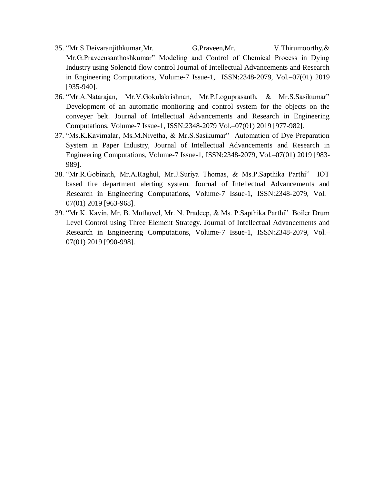- 35. "Mr.S.Deivaranjithkumar,Mr. G.Praveen,Mr. V.Thirumoorthy,& Mr.G.Praveensanthoshkumar" Modeling and Control of Chemical Process in Dying Industry using Solenoid flow control Journal of Intellectual Advancements and Research in Engineering Computations, Volume-7 Issue-1, ISSN:2348-2079, Vol.–07(01) 2019 [935-940].
- 36. "Mr.A.Natarajan, Mr.V.Gokulakrishnan, Mr.P.Loguprasanth, & Mr.S.Sasikumar" Development of an automatic monitoring and control system for the objects on the conveyer belt. Journal of Intellectual Advancements and Research in Engineering Computations, Volume-7 Issue-1, ISSN:2348-2079 Vol.–07(01) 2019 [977-982].
- 37. "Ms.K.Kavimalar, Ms.M.Nivetha, & Mr.S.Sasikumar" Automation of Dye Preparation System in Paper Industry, Journal of Intellectual Advancements and Research in Engineering Computations, Volume-7 Issue-1, ISSN:2348-2079, Vol.–07(01) 2019 [983- 989].
- 38. "Mr.R.Gobinath, Mr.A.Raghul, Mr.J.Suriya Thomas, & Ms.P.Sapthika Parthi" IOT based fire department alerting system. Journal of Intellectual Advancements and Research in Engineering Computations, Volume-7 Issue-1, ISSN:2348-2079, Vol.– 07(01) 2019 [963-968].
- 39. "Mr.K. Kavin, Mr. B. Muthuvel, Mr. N. Pradeep, & Ms. P.Sapthika Parthi" Boiler Drum Level Control using Three Element Strategy. Journal of Intellectual Advancements and Research in Engineering Computations, Volume-7 Issue-1, ISSN:2348-2079, Vol.– 07(01) 2019 [990-998].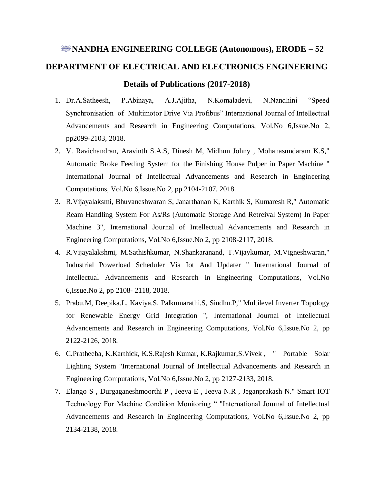# **NANDHA ENGINEERING COLLEGE (Autonomous), ERODE – 52 DEPARTMENT OF ELECTRICAL AND ELECTRONICS ENGINEERING**

#### **Details of Publications (2017-2018)**

- 1. Dr.A.Satheesh, P.Abinaya, A.J.Ajitha, N.Komaladevi, N.Nandhini "Speed Synchronisation of Multimotor Drive Via Profibus" International Journal of Intellectual Advancements and Research in Engineering Computations, Vol.No 6,Issue.No 2, pp2099-2103, 2018.
- 2. V. Ravichandran, Aravinth S.A.S, Dinesh M, Midhun Johny , Mohanasundaram K.S," Automatic Broke Feeding System for the Finishing House Pulper in Paper Machine " International Journal of Intellectual Advancements and Research in Engineering Computations, Vol.No 6,Issue.No 2, pp 2104-2107, 2018.
- 3. R.Vijayalaksmi, Bhuvaneshwaran S, Janarthanan K, Karthik S, Kumaresh R," Automatic Ream Handling System For As/Rs (Automatic Storage And Retreival System) In Paper Machine 3", International Journal of Intellectual Advancements and Research in Engineering Computations, Vol.No 6,Issue.No 2, pp 2108-2117, 2018.
- 4. R.Vijayalakshmi, M.Sathishkumar, N.Shankaranand, T.Vijaykumar, M.Vigneshwaran," Industrial Powerload Scheduler Via Iot And Updater " International Journal of Intellectual Advancements and Research in Engineering Computations, Vol.No 6,Issue.No 2, pp 2108- 2118, 2018.
- 5. Prabu.M, Deepika.L, Kaviya.S, Palkumarathi.S, Sindhu.P," Multilevel Inverter Topology for Renewable Energy Grid Integration ", International Journal of Intellectual Advancements and Research in Engineering Computations, Vol.No 6,Issue.No 2, pp 2122-2126, 2018.
- 6. C.Pratheeba, K.Karthick, K.S.Rajesh Kumar, K.Rajkumar,S.Vivek , " Portable Solar Lighting System "International Journal of Intellectual Advancements and Research in Engineering Computations, Vol.No 6,Issue.No 2, pp 2127-2133, 2018.
- 7. Elango S , Durgaganeshmoorthi P , Jeeva E , Jeeva N.R , Jeganprakash N." Smart IOT Technology For Machine Condition Monitoring " "International Journal of Intellectual Advancements and Research in Engineering Computations, Vol.No 6,Issue.No 2, pp 2134-2138, 2018.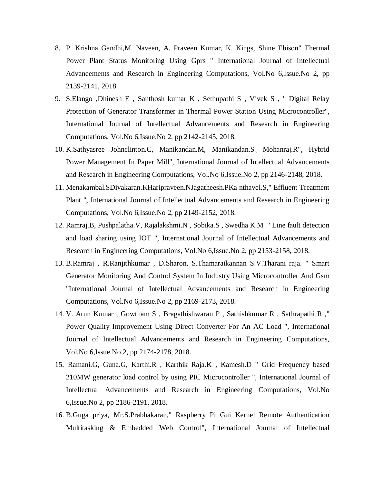- 8. P. Krishna Gandhi,M. Naveen, A. Praveen Kumar, K. Kings, Shine Ebison" Thermal Power Plant Status Monitoring Using Gprs " International Journal of Intellectual Advancements and Research in Engineering Computations, Vol.No 6,Issue.No 2, pp 2139-2141, 2018.
- 9. S.Elango ,Dhinesh E , Santhosh kumar K , Sethupathi S , Vivek S , " Digital Relay Protection of Generator Transformer in Thermal Power Station Using Microcontroller", International Journal of Intellectual Advancements and Research in Engineering Computations, Vol.No 6,Issue.No 2, pp 2142-2145, 2018.
- 10. K.Sathyasree Johnclinton.C, Manikandan.M, Manikandan.S¸ Mohanraj.R", Hybrid Power Management In Paper Mill", International Journal of Intellectual Advancements and Research in Engineering Computations, Vol.No 6,Issue.No 2, pp 2146-2148, 2018.
- 11. Menakambal.SDivakaran.KHaripraveen.NJagatheesh.PKa nthavel.S," Effluent Treatment Plant ", International Journal of Intellectual Advancements and Research in Engineering Computations, Vol.No 6,Issue.No 2, pp 2149-2152, 2018.
- 12. Ramraj.B, Pushpalatha.V, Rajalakshmi.N , Sobika.S , Swedha K.M " Line fault detection and load sharing using IOT ", International Journal of Intellectual Advancements and Research in Engineering Computations, Vol.No 6,Issue.No 2, pp 2153-2158, 2018.
- 13. B.Ramraj , R.Ranjithkumar , D.Sharon, S.Thamaraikannan S.V.Tharani raja. " Smart Generator Monitoring And Control System In Industry Using Microcontroller And Gsm "International Journal of Intellectual Advancements and Research in Engineering Computations, Vol.No 6,Issue.No 2, pp 2169-2173, 2018.
- 14. V. Arun Kumar , Gowtham S , Bragathishwaran P , Sathishkumar R , Sathrapathi R ," Power Quality Improvement Using Direct Converter For An AC Load ", International Journal of Intellectual Advancements and Research in Engineering Computations, Vol.No 6,Issue.No 2, pp 2174-2178, 2018.
- 15. Ramani.G, Guna.G, Karthi.R , Karthik Raja.K , Kamesh.D " Grid Frequency based 210MW generator load control by using PIC Microcontroller ", International Journal of Intellectual Advancements and Research in Engineering Computations, Vol.No 6,Issue.No 2, pp 2186-2191, 2018.
- 16. B.Guga priya, Mr.S.Prabhakaran," Raspberry Pi Gui Kernel Remote Authentication Multitasking & Embedded Web Control", International Journal of Intellectual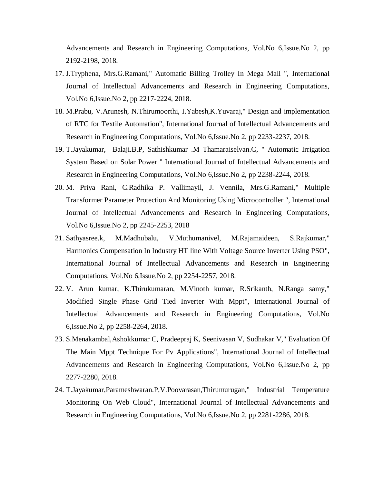Advancements and Research in Engineering Computations, Vol.No 6,Issue.No 2, pp 2192-2198, 2018.

- 17. J.Tryphena, Mrs.G.Ramani," Automatic Billing Trolley In Mega Mall ", International Journal of Intellectual Advancements and Research in Engineering Computations, Vol.No 6,Issue.No 2, pp 2217-2224, 2018.
- 18. M.Prabu, V.Arunesh, N.Thirumoorthi, I.Yabesh,K.Yuvaraj," Design and implementation of RTC for Textile Automation", International Journal of Intellectual Advancements and Research in Engineering Computations, Vol.No 6,Issue.No 2, pp 2233-2237, 2018.
- 19. T.Jayakumar, Balaji.B.P, Sathishkumar .M Thamaraiselvan.C, " Automatic Irrigation System Based on Solar Power " International Journal of Intellectual Advancements and Research in Engineering Computations, Vol.No 6,Issue.No 2, pp 2238-2244, 2018.
- 20. M. Priya Rani, C.Radhika P. Vallimayil, J. Vennila, Mrs.G.Ramani," Multiple Transformer Parameter Protection And Monitoring Using Microcontroller ", International Journal of Intellectual Advancements and Research in Engineering Computations, Vol.No 6,Issue.No 2, pp 2245-2253, 2018
- 21. Sathyasree.k, M.Madhubalu, V.Muthumanivel, M.Rajamaideen, S.Rajkumar," Harmonics Compensation In Industry HT line With Voltage Source Inverter Using PSO", International Journal of Intellectual Advancements and Research in Engineering Computations, Vol.No 6,Issue.No 2, pp 2254-2257, 2018.
- 22. V. Arun kumar, K.Thirukumaran, M.Vinoth kumar, R.Srikanth, N.Ranga samy," Modified Single Phase Grid Tied Inverter With Mppt", International Journal of Intellectual Advancements and Research in Engineering Computations, Vol.No 6,Issue.No 2, pp 2258-2264, 2018.
- 23. S.Menakambal,Ashokkumar C, Pradeepraj K, Seenivasan V, Sudhakar V," Evaluation Of The Main Mppt Technique For Pv Applications", International Journal of Intellectual Advancements and Research in Engineering Computations, Vol.No 6,Issue.No 2, pp 2277-2280, 2018.
- 24. T.Jayakumar,Parameshwaran.P,V.Poovarasan,Thirumurugan," Industrial Temperature Monitoring On Web Cloud", International Journal of Intellectual Advancements and Research in Engineering Computations, Vol.No 6,Issue.No 2, pp 2281-2286, 2018.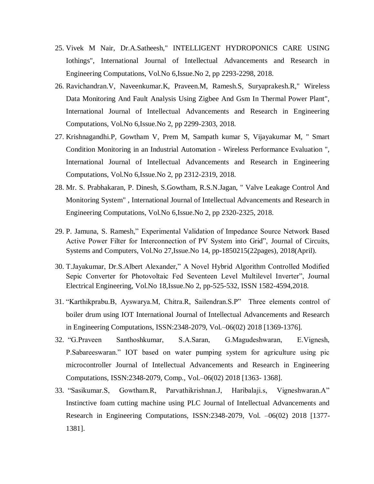- 25. Vivek M Nair, Dr.A.Satheesh," INTELLIGENT HYDROPONICS CARE USING Iothings", International Journal of Intellectual Advancements and Research in Engineering Computations, Vol.No 6,Issue.No 2, pp 2293-2298, 2018.
- 26. Ravichandran.V, Naveenkumar.K, Praveen.M, Ramesh.S, Suryaprakesh.R," Wireless Data Monitoring And Fault Analysis Using Zigbee And Gsm In Thermal Power Plant", International Journal of Intellectual Advancements and Research in Engineering Computations, Vol.No 6,Issue.No 2, pp 2299-2303, 2018.
- 27. Krishnagandhi.P, Gowtham V, Prem M, Sampath kumar S, Vijayakumar M, " Smart Condition Monitoring in an Industrial Automation - Wireless Performance Evaluation ", International Journal of Intellectual Advancements and Research in Engineering Computations, Vol.No 6,Issue.No 2, pp 2312-2319, 2018.
- 28. Mr. S. Prabhakaran, P. Dinesh, S.Gowtham, R.S.N.Jagan, " Valve Leakage Control And Monitoring System" , International Journal of Intellectual Advancements and Research in Engineering Computations, Vol.No 6,Issue.No 2, pp 2320-2325, 2018.
- 29. [P. Jamuna, S. Ramesh,](https://www.worldscientific.com/doi/pdf/10.1142/S0218126618502158)" Experimental Validation of Impedance Source Network Based Active Power Filter for Interconnection of PV System into Grid", [Journal of Circuits,](https://www.worldscientific.com/worldscinet/jcsc)  [Systems and Computers,](https://www.worldscientific.com/worldscinet/jcsc) Vol.No 27,Issue.No 14, pp-1850215(22pages), 2018(April).
- 30. T.Jayakumar, Dr.S.Albert Alexander," A Novel Hybrid Algorithm Controlled Modified Sepic Converter for Photovoltaic Fed Seventeen Level Multilevel Inverter", Journal Electrical Engineering, Vol.No 18,Issue.No 2, pp-525-532, ISSN 1582-4594,2018.
- 31. "Karthikprabu.B, Ayswarya.M, Chitra.R, Sailendran.S.P" Three elements control of boiler drum using IOT International Journal of Intellectual Advancements and Research in Engineering Computations, ISSN:2348-2079, Vol.–06(02) 2018 [1369-1376].
- 32. "G.Praveen Santhoshkumar, S.A.Saran, G.Magudeshwaran, E.Vignesh, P.Sabareeswaran." IOT based on water pumping system for agriculture using pic microcontroller Journal of Intellectual Advancements and Research in Engineering Computations, ISSN:2348-2079, Comp., Vol.–06(02) 2018 [1363- 1368].
- 33. "Sasikumar.S, Gowtham.R, Parvathikrishnan.J, Haribalaji.s, Vigneshwaran.A" Instinctive foam cutting machine using PLC Journal of Intellectual Advancements and Research in Engineering Computations, ISSN:2348-2079, Vol. –06(02) 2018 [1377- 1381].